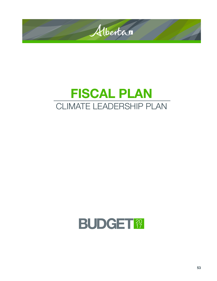

# FISCAL PLAN CLIMATE LEADERSHIP PLAN

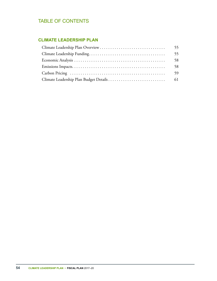## TABLE OF CONTENTS

## **CLIMATE LEADERSHIP PLAN**

| 58 |
|----|
| 58 |
|    |
|    |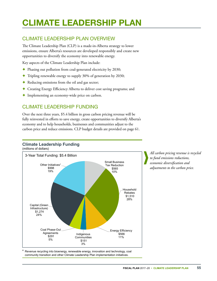## <span id="page-2-0"></span>CLIMATE LEADERSHIP PLAN

## CLIMATE LEADERSHIP PLAN OVERVIEW

The Climate Leadership Plan (CLP) is a made-in-Alberta strategy to lower emissions, ensure Alberta's resources are developed responsibly and create new opportunities to diversify the economy into renewable energy.

Key aspects of the Climate Leadership Plan include:

- ✦ Phasing out pollution from coal‑generated electricity by 2030;
- ✦ Tripling renewable energy to supply 30% of generation by 2030;
- ✦ Reducing emissions from the oil and gas sector;
- ✦ Creating Energy Efficiency Alberta to deliver cost saving programs; and
- ✦ Implementing an economy‑wide price on carbon.

## CLIMATE LEADERSHIP FUNDING

Over the next three years, \$5.4 billion in gross carbon pricing revenue will be fully reinvested in efforts to save energy, create opportunities to diversify Alberta's economy and to help households, businesses and communities adjust to the carbon price and reduce emissions. CLP budget details are provided on page 61. **Climate Leadership Funding**

#### **Climate Leadership Funding** (\$ million) 3 Year Total Funding: \$5.4 Billion



*All carbon pricing revenue is recycled to fund emissions reductions, economic diversification and adjustments to the carbon price.*

community transition and other Climate Leadership Plan implementation initiatives. Revenue recycling into bioenergy, renewable energy, innovation and technology, coal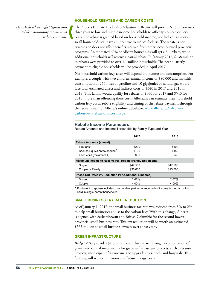*Household rebates offset typical costs while maintaining incentives to reduce emissions.*

#### **HOUSEHOLD REBATES AND CARBON COSTS**

The Alberta Climate Leadership Adjustment Rebate will provide \$1.5 billion over three years to low and middle income households to offset typical carbon levy costs. The rebate is granted based on household income, not fuel consumption, so all households still have an incentive to reduce fuel use. The rebate is not taxable and does not affect benefits received from other income-tested provincial programs. An estimated 60% of Alberta households will get a full rebate, while additional households will receive a partial rebate. In January 2017, \$138 million in rebates were provided to over 1.1 million households. The next quarterly payment to eligible households will be provided in April 2017.

Net household carbon levy costs will depend on income and consumption. For example, a couple with two children, annual income of \$80,000 and monthly consumption of 265 litres of gasoline and 10 gigajoules of natural gas would face total estimated direct and indirect costs of \$340 in 2017 and \$510 in 2018. This family would qualify for rebates of \$360 for 2017 and \$540 for 2018, more than offsetting these costs. Albertans can estimate their household carbon levy costs, rebate eligibility and timing of the rebate payments through the Government of Alberta's online calculator: [www.alberta.ca/calculate](www.alberta.ca/calculate-carbon-levy-rebate-and-costs.aspx)[carbon-levy-rebate-and-costs.aspx](www.alberta.ca/calculate-carbon-levy-rebate-and-costs.aspx).

#### **Rebate Income Parameters**

Rebate Amounts and Income Thresholds by Family Type and Year

|                                                                                                 | 2017     | 2018     |
|-------------------------------------------------------------------------------------------------|----------|----------|
| <b>Rebate Amounts (annual)</b>                                                                  |          |          |
| First adult                                                                                     | \$200    | \$300    |
| Spouse/Equivalent to spouse <sup>a</sup>                                                        | \$100    | \$150    |
| Each child (maximum 4)                                                                          | \$30     | \$45     |
| Maximum Income to Receive Full Rebate (Family Net Income)                                       |          |          |
| Single                                                                                          | \$47.500 | \$47,500 |
| Couple or Family                                                                                | \$95,000 | \$95,000 |
| Phase-Out Rates (% Reduction Per Additional \$ Income)                                          |          |          |
| Single                                                                                          | 2.67%    | 2.67%    |
| Couple                                                                                          | 4.00%    | 4.00%    |
| а<br>Equivalent to spouse includes common-law partner as reported on income tax forms, or first |          |          |

 Equivalent to spouse includes common-law partner as reported on income tax forms, or first child in single-parent households.

#### **SMALL BUSINESS TAX RATE REDUCTION**

As of January 1, 2017, the small business tax rate was reduced from 3% to 2% to help small businesses adjust to the carbon levy. With this change, Alberta is aligned with Saskatchewan and British Columbia for the second lowest provincial small business rate. This tax reduction will be worth an estimated \$565 million to small business owners over three years.

#### **GREEN INFRASTRUCTURE**

*Budget 2017* provides \$1.3 billion over three years through a combination of grants and capital investments for green infrastructure projects; such as transit projects, municipal infrastructure and upgrades to schools and hospitals. This funding will reduce emissions and future energy costs.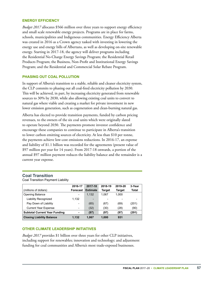#### **ENERGY EFFICIENCY**

*Budget 2017* allocates \$566 million over three years to support energy efficiency and small scale renewable energy projects. Programs are in place for farms, schools, municipalities and Indigenous communities. Energy Efficiency Alberta was created in 2016 as a Crown agency tasked with investing in lowering the energy use and energy bills of Albertans, as well as developing on‑site renewable energy. Starting in 2017‑18, the agency will deliver programs including the Residential No‑Charge Energy Savings Program; the Residential Retail Products Program; the Business, Non‑Profit and Institutional Energy Savings Program; and the Residential and Commercial Solar Rebate Program.

#### **PHASING OUT COAL POLLUTION**

In support of Alberta's transition to a stable, reliable and cleaner electricity system, the CLP commits to phasing out all coal-fired electricity pollution by 2030. This will be achieved, in part, by increasing electricity generated from renewable sources to 30% by 2030, while also allowing existing coal units to convert to natural gas where viable and creating a market for private investment in new lower emission generation, such as cogeneration and clean-burning natural gas.

Alberta has elected to provide transition payments, funded by carbon pricing revenues, to the owners of the six coal units which were originally slated to operate beyond 2030. The payments promote investor confidence and encourage these companies to continue to participate in Alberta's transition to lower carbon emitting sources of electricity. At less than \$10 per tonne, the payments achieve low-cost emissions reductions. In 2016-17, an expense and liability of \$1.1 billion was recorded for the agreements (present value of \$97 million per year for 14 years). From 2017‑18 onwards, a portion of the annual \$97 million payment reduces the liability balance and the remainder is a current year expense.

#### **Coal Transition**

Coal Transition Payment Liability

|                                      | 2016-17                  | 2017-18                      | 2018-19 | 2019-20       | 3-Year       |
|--------------------------------------|--------------------------|------------------------------|---------|---------------|--------------|
| (millions of dollars)                | Forecast                 | <b>Estimate</b>              | Target  | <b>Target</b> | <b>Total</b> |
| Opening Balance                      | $\overline{\phantom{a}}$ | 1.132                        | 1.067   | 1.000         |              |
| Liability Recognized                 | 1.132                    | $\qquad \qquad \blacksquare$ |         |               |              |
| Pay Down of Liability                | $\overline{\phantom{0}}$ | (65)                         | (67)    | (69)          | (201)        |
| <b>Current Year Expense</b>          | $\overline{\phantom{0}}$ | (32)                         | (30)    | (28)          | (90)         |
| <b>Subtotal Current Year Funding</b> | ۰                        | (97)                         | (97)    | (97)          | (291)        |
| <b>Closing Liability Balance</b>     | 1.132                    | 1.067                        | 1.000   | 931           |              |

#### **OTHER CLIMATE LEADERSHIP INITIATIVES**

*Budget 2017* provides \$1 billion over three years for other CLP initiatives, including support for renewables; innovation and technology; and adjustment funding for coal communities and Alberta's most trade-exposed businesses.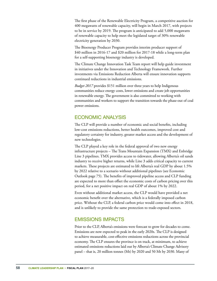<span id="page-5-0"></span>The first phase of the Renewable Electricity Program, a competitive auction for 400 megawatts of renewable capacity, will begin in March 2017, with projects to be in service by 2019. The program is anticipated to add 5,000 megawatts of renewable capacity to help meet the legislated target of 30% renewable electricity generation by 2030.

The Bioenergy Producer Program provides interim producer support of \$40 million in 2016-17 and \$20 million for 2017-18 while a long-term plan for a self‑supporting bioenergy industry is developed.

The Climate Change Innovation Task Team report will help guide investment in initiatives under the Innovation and Technology Framework. Further investments via Emissions Reduction Alberta will ensure innovation supports continued reductions in industrial emissions.

*Budget 2017* provides \$151 million over three years to help Indigenous communities reduce energy costs, lower emissions and create job opportunities in renewable energy. The government is also committed to working with communities and workers to support the transition towards the phase‑out of coal power emissions.

## ECONOMIC ANALYSIS

The CLP will provide a number of economic and social benefits, including low‑cost emissions reductions, better health outcomes, improved cost and regulatory certainty for industry, greater market access and the development of new technologies.

The CLP played a key role in the federal approval of two new energy infrastructure projects – The Trans Mountain Expansion (TMX) and Enbridge Line 3 pipelines. TMX provides access to tidewater, allowing Alberta's oil sands industry to receive higher returns, while Line 3 adds critical capacity to current markets. These projects are estimated to lift Alberta's real GDP by about 1.5% by 2022 relative to a scenario without additional pipelines (see Economic Outlook page 75). The benefits of improved pipeline access and CLP funding are expected to more than offset the economic costs of carbon pricing over this period, for a net positive impact on real GDP of about 1% by 2022.

Even without additional market access, the CLP would have provided a net economic benefit over the alternative, which is a federally imposed carbon price. Without the CLP, a federal carbon price would come into effect in 2018, and is unlikely to provide the same protection to trade-exposed sectors.

## EMISSIONS IMPACTS

Prior to the CLP, Alberta's emissions were forecast to grow for decades to come. Emissions are now expected to peak in the early 2020s. The CLP is designed to achieve measurable, cost‑effective emissions reductions across the provincial economy. The CLP ensures the province is on track, at minimum, to achieve estimated emissions reductions laid out by Alberta's Climate Change Advisory panel – that is, 20 million tonnes (Mt) by 2020 and 50 Mt by 2030. Many of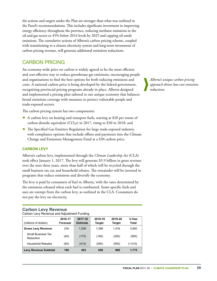<span id="page-6-0"></span>the actions and targets under the Plan are stronger than what was outlined in the Panel's recommendations. This includes significant investment in improving energy efficiency throughout the province, reducing methane emissions in the oil and gas sector to 45% below 2014 levels by 2025 and capping oil sands emissions. The cumulative actions of Alberta's carbon pricing scheme, coupled with transitioning to a cleaner electricity system and long-term investment of carbon pricing revenue, will generate additional emissions reductions.

## CARBON PRICING

An economy-wide price on carbon is widely agreed to be the most efficient and cost-effective way to reduce greenhouse gas emissions, encouraging people and organizations to find the best options for both reducing emissions and costs. A national carbon price is being developed by the federal government, recognizing provincial pricing programs already in place. Alberta designed and implemented a pricing plan tailored to our unique economy that balances broad emissions coverage with measures to protect vulnerable people and trade‑exposed sectors.

The carbon pricing system has two components:

- ✦ A carbon levy on heating and transport fuels, starting at \$20 per tonne of carbon dioxide equivalent ( $CO<sub>2</sub>e$ ) in 2017, rising to \$30 in 2018; and
- ✦ The Specified Gas Emitters Regulation for large trade‑exposed industry, with compliance options that include offsets and payments into the Climate Change and Emissions Management Fund at a \$30 carbon price.

#### **CARBON LEVY**

Alberta's carbon levy, implemented through the *Climate Leadership Act* (CLA) took effect January 1, 2017. The levy will generate \$3.9 billion in gross revenue over the next three years, more than half of which will be recycled through the small business tax cut and household rebates. The remainder will be invested in programs that reduce emissions and diversify the economy.

The levy is paid by consumers of fuel in Alberta, with the rates determined by the emissions released when each fuel is combusted. Some specific fuels and uses are exempt from the carbon levy, as outlined in the CLA. Consumers do not pay the levy on electricity.

## **Carbon Levy Revenue**

Carbon Levy Revenue and Adjustment Funding

| (millions of dollars)                  | 2016-17<br>Forecast | 2017-18<br><b>Estimate</b> | 2018-19<br>Target | 2019-20<br><b>Target</b> | 3-Year<br>Total |
|----------------------------------------|---------------------|----------------------------|-------------------|--------------------------|-----------------|
| <b>Gross Levy Revenue</b>              | 230                 | 1.038                      | 1.396             | 1.416                    | 3,850           |
| <b>Small Business Tax</b><br>Reduction | (40)                | (175)                      | (190)             | (200)                    | (565)           |
| <b>Household Rebates</b>               | (90)                | (410)                      | (550)             | (550)                    | (1,510)         |
| <b>Levy Revenue Subtotal</b>           | 100                 | 453                        | 656               | 666                      | 1,775           |

*Alberta's unique carbon pricing approach drives low-cost emissions reductions.*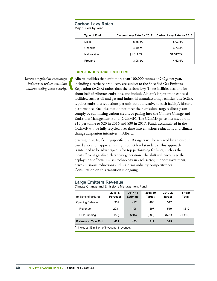#### **Carbon Levy Rates** Major Fuels by Year

| <b>Type of Fuel</b> | Carbon Levy Rate for 2017 | Carbon Levy Rate for 2018 |
|---------------------|---------------------------|---------------------------|
| Diesel              | 5.35 $\ell$ /L            | 8.03 $\ell$ /L            |
| Gasoline            | 4.49 $\ell$ /L            | 6.73 $\ell$ /L            |
| Natural Gas         | \$1.011 / GJ              | \$1.517/GJ                |
| Propane             | 3.08 $\ell$ /L            | 4.62 $\ell$ /L            |

#### **LARGE INDUSTRIAL EMITTERS**

*Alberta's regulation encourages industry to reduce emissions without scaling back activity.*

Alberta facilities that emit more than 100,000 tonnes of  $CO<sub>2</sub>e$  per year, including electricity producers, are subject to the Specified Gas Emitters Regulation (SGER) rather than the carbon levy. These facilities account for about half of Alberta's emissions, and include Alberta's largest trade‑exposed facilities, such as oil and gas and industrial manufacturing facilities. The SGER requires emissions reductions per unit output, relative to each facility's historic performance. Facilities that do not meet their emissions targets directly can comply by submitting carbon credits or paying into the Climate Change and Emissions Management Fund (CCEMF). The CCEMF price increased from \$15 per tonne to \$20 in 2016 and \$30 in 2017. Funds accumulated in the CCEMF will be fully recycled over time into emissions reductions and climate change adaptation initiatives in Alberta.

Starting in 2018, facility‑specific SGER targets will be replaced by an output based allocation approach using product level standards. This approach is intended to be advantageous for top performing facilities, such as the most efficient gas-fired electricity generation. The shift will encourage the deployment of best-in-class technology in each sector, support investment, drive emissions reductions and maintain industry competitiveness. Consultation on this transition is ongoing.

#### **Large Emitters Revenue**

Climate Change and Emissions Management Fund

| (millions of dollars)      | 2016-17<br>Forecast | 2017-18<br><b>Estimate</b> | 2018-19<br><b>Target</b> | 2019-20<br><b>Target</b> | 3-Year<br><b>Total</b> |
|----------------------------|---------------------|----------------------------|--------------------------|--------------------------|------------------------|
| <b>Opening Balance</b>     | 369                 | 422                        | 403                      | 317                      |                        |
| Revenue                    | 203 <sup>a</sup>    | 196                        | 597                      | 519                      | 1.312                  |
| <b>CLP Funding</b>         | (150)               | (215)                      | (683)                    | (521)                    | (1, 419)               |
| <b>Balance at Year End</b> | 422                 | 403                        | 317                      | 315                      |                        |

Includes \$3 million of investment revenue.